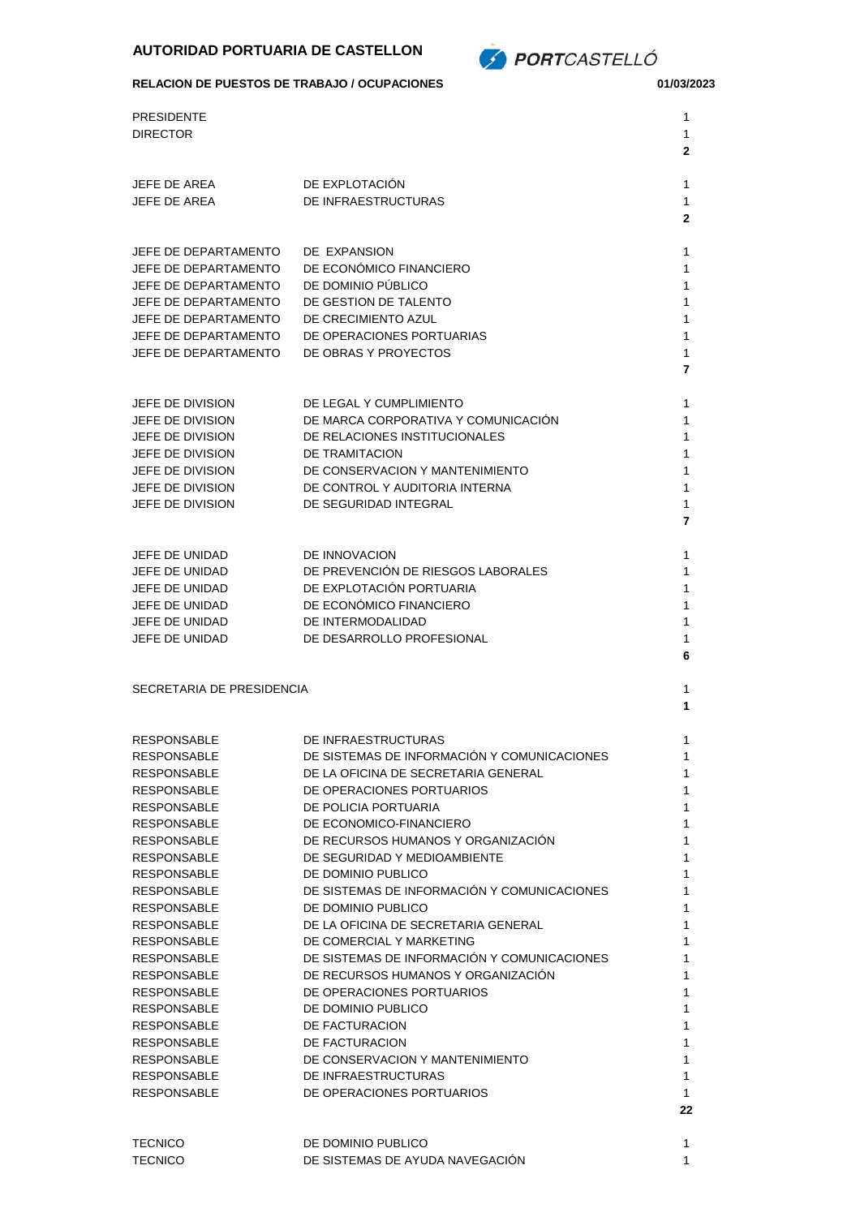

## **RELACION DE PUESTOS DE TRABAJO / OCUPACIONES 01/03/2023**

| <b>PRESIDENTE</b><br><b>DIRECTOR</b>                                                                                                                                                                                                                                                                                                                                                                                                                                                             |                                                                                                                                                                                                                                                                                                                                                                                                                                                                                                                                                                                                                                                                                                  | 1<br>1<br>2                                                                                                      |
|--------------------------------------------------------------------------------------------------------------------------------------------------------------------------------------------------------------------------------------------------------------------------------------------------------------------------------------------------------------------------------------------------------------------------------------------------------------------------------------------------|--------------------------------------------------------------------------------------------------------------------------------------------------------------------------------------------------------------------------------------------------------------------------------------------------------------------------------------------------------------------------------------------------------------------------------------------------------------------------------------------------------------------------------------------------------------------------------------------------------------------------------------------------------------------------------------------------|------------------------------------------------------------------------------------------------------------------|
| <b>JEFE DE AREA</b><br>JEFE DE AREA                                                                                                                                                                                                                                                                                                                                                                                                                                                              | DE EXPLOTACION<br>DE INFRAESTRUCTURAS                                                                                                                                                                                                                                                                                                                                                                                                                                                                                                                                                                                                                                                            | 1<br>1<br>2                                                                                                      |
| JEFE DE DEPARTAMENTO<br>JEFE DE DEPARTAMENTO<br>JEFE DE DEPARTAMENTO<br>JEFE DE DEPARTAMENTO<br>JEFE DE DEPARTAMENTO<br>JEFE DE DEPARTAMENTO<br>JEFE DE DEPARTAMENTO                                                                                                                                                                                                                                                                                                                             | DE EXPANSION<br>DE ECONÓMICO FINANCIERO<br>DE DOMINIO PÚBLICO<br>DE GESTION DE TALENTO<br>DE CRECIMIENTO AZUL<br>DE OPERACIONES PORTUARIAS<br>DE OBRAS Y PROYECTOS                                                                                                                                                                                                                                                                                                                                                                                                                                                                                                                               | 1<br>1<br>1<br>1<br>1<br>1<br>1<br>7                                                                             |
| JEFE DE DIVISION<br>JEFE DE DIVISION<br>JEFE DE DIVISION<br>JEFE DE DIVISION<br>JEFE DE DIVISION<br>JEFE DE DIVISION<br>JEFE DE DIVISION                                                                                                                                                                                                                                                                                                                                                         | DE LEGAL Y CUMPLIMIENTO<br>DE MARCA CORPORATIVA Y COMUNICACION<br>DE RELACIONES INSTITUCIONALES<br>DE TRAMITACION<br>DE CONSERVACION Y MANTENIMIENTO<br>DE CONTROL Y AUDITORIA INTERNA<br>DE SEGURIDAD INTEGRAL                                                                                                                                                                                                                                                                                                                                                                                                                                                                                  | 1<br>1<br>1<br>1<br>1<br>1<br>1<br>7                                                                             |
| JEFE DE UNIDAD<br>JEFE DE UNIDAD<br>JEFE DE UNIDAD<br>JEFE DE UNIDAD<br>JEFE DE UNIDAD<br>JEFE DE UNIDAD                                                                                                                                                                                                                                                                                                                                                                                         | DE INNOVACION<br>DE PREVENCIÓN DE RIESGOS LABORALES<br>DE EXPLOTACIÓN PORTUARIA<br>DE ECONÓMICO FINANCIERO<br>DE INTERMODALIDAD<br>DE DESARROLLO PROFESIONAL                                                                                                                                                                                                                                                                                                                                                                                                                                                                                                                                     | 1<br>1<br>1<br>1<br>1<br>1<br>6                                                                                  |
| SECRETARIA DE PRESIDENCIA                                                                                                                                                                                                                                                                                                                                                                                                                                                                        |                                                                                                                                                                                                                                                                                                                                                                                                                                                                                                                                                                                                                                                                                                  | 1<br>1                                                                                                           |
| <b>RESPONSABLE</b><br><b>RESPONSABLE</b><br><b>RESPONSABLE</b><br><b>RESPONSABLE</b><br><b>RESPONSABLE</b><br><b>RESPONSABLE</b><br><b>RESPONSABLE</b><br><b>RESPONSABLE</b><br><b>RESPONSABLE</b><br><b>RESPONSABLE</b><br><b>RESPONSABLE</b><br><b>RESPONSABLE</b><br><b>RESPONSABLE</b><br><b>RESPONSABLE</b><br><b>RESPONSABLE</b><br><b>RESPONSABLE</b><br><b>RESPONSABLE</b><br><b>RESPONSABLE</b><br><b>RESPONSABLE</b><br><b>RESPONSABLE</b><br><b>RESPONSABLE</b><br><b>RESPONSABLE</b> | DE INFRAESTRUCTURAS<br>DE SISTEMAS DE INFORMACIÓN Y COMUNICACIONES<br>DE LA OFICINA DE SECRETARIA GENERAL<br>DE OPERACIONES PORTUARIOS<br>DE POLICIA PORTUARIA<br>DE ECONOMICO-FINANCIERO<br>DE RECURSOS HUMANOS Y ORGANIZACIÓN<br>DE SEGURIDAD Y MEDIOAMBIENTE<br>DE DOMINIO PUBLICO<br>DE SISTEMAS DE INFORMACIÓN Y COMUNICACIONES<br>DE DOMINIO PUBLICO<br>DE LA OFICINA DE SECRETARIA GENERAL<br>DE COMERCIAL Y MARKETING<br>DE SISTEMAS DE INFORMACIÓN Y COMUNICACIONES<br>DE RECURSOS HUMANOS Y ORGANIZACIÓN<br>DE OPERACIONES PORTUARIOS<br>DE DOMINIO PUBLICO<br>DE FACTURACION<br>DE FACTURACION<br>DE CONSERVACION Y MANTENIMIENTO<br>DE INFRAESTRUCTURAS<br>DE OPERACIONES PORTUARIOS | 1<br>1<br>1<br>1<br>1<br>1<br>1<br>1<br>1<br>1<br>1<br>1<br>1<br>1<br>1<br>1<br>1<br>1<br>1<br>1<br>1<br>1<br>22 |
| <b>TECNICO</b><br><b>TECNICO</b>                                                                                                                                                                                                                                                                                                                                                                                                                                                                 | DE DOMINIO PUBLICO<br>DE SISTEMAS DE AYUDA NAVEGACIÓN                                                                                                                                                                                                                                                                                                                                                                                                                                                                                                                                                                                                                                            | 1<br>1                                                                                                           |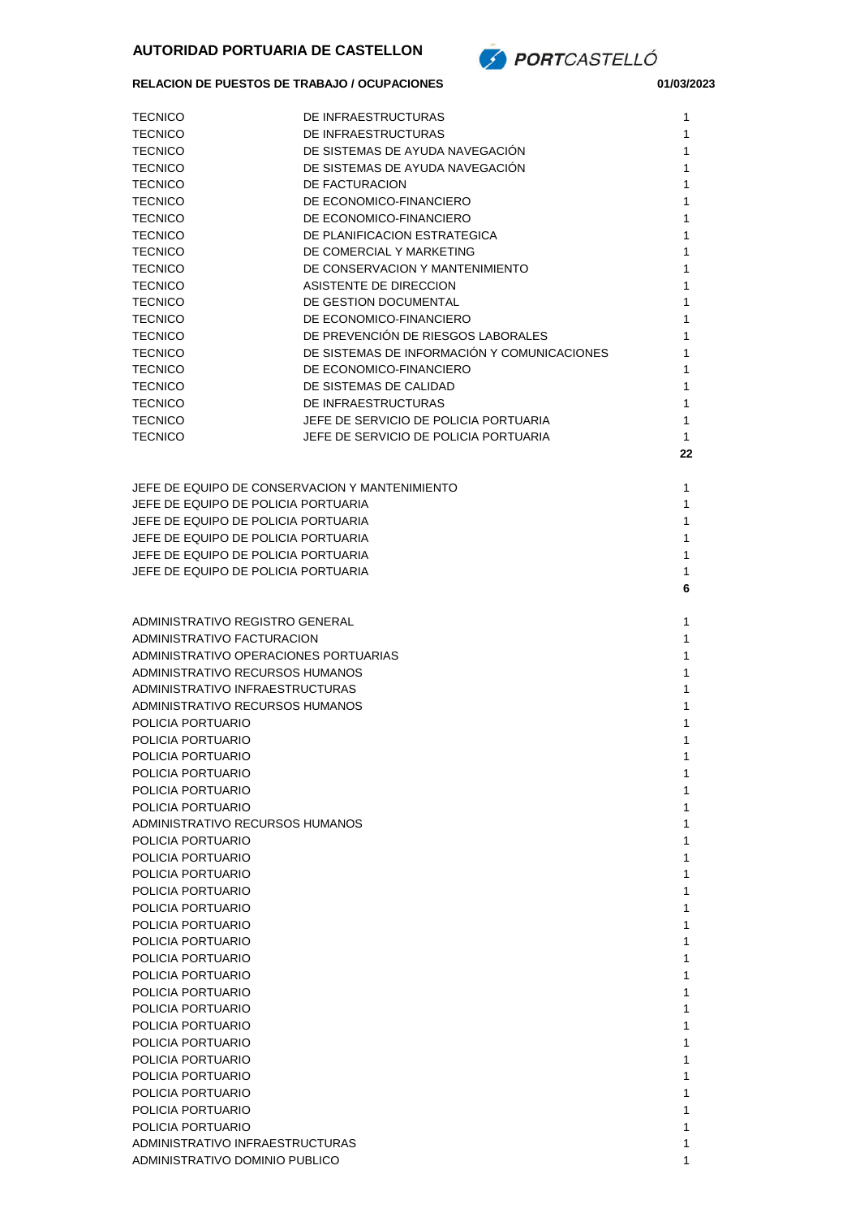

## **RELACION DE PUESTOS DE TRABAJO / OCUPACIONES 01/03/2023**

| <b>TECNICO</b>                                                     | DE INFRAESTRUCTURAS                         | 1            |
|--------------------------------------------------------------------|---------------------------------------------|--------------|
| <b>TECNICO</b>                                                     | DE INFRAESTRUCTURAS                         | 1            |
| <b>TECNICO</b>                                                     | DE SISTEMAS DE AYUDA NAVEGACIÓN             | 1            |
| <b>TECNICO</b>                                                     | DE SISTEMAS DE AYUDA NAVEGACION             | 1            |
| <b>TECNICO</b>                                                     | DE FACTURACION                              | 1            |
| <b>TECNICO</b>                                                     | DE ECONOMICO-FINANCIERO                     | 1            |
| <b>TECNICO</b>                                                     | DE ECONOMICO-FINANCIERO                     | 1            |
| <b>TECNICO</b>                                                     | DE PLANIFICACION ESTRATEGICA                | 1            |
| <b>TECNICO</b>                                                     | DE COMERCIAL Y MARKETING                    | 1            |
| <b>TECNICO</b>                                                     | DE CONSERVACION Y MANTENIMIENTO             | 1            |
| <b>TECNICO</b>                                                     | ASISTENTE DE DIRECCION                      | 1            |
| <b>TECNICO</b>                                                     | DE GESTION DOCUMENTAL                       | 1            |
| <b>TECNICO</b>                                                     | DE ECONOMICO-FINANCIERO                     | 1            |
| <b>TECNICO</b>                                                     | DE PREVENCIÓN DE RIESGOS LABORALES          | 1            |
| <b>TECNICO</b>                                                     | DE SISTEMAS DE INFORMACION Y COMUNICACIONES | 1            |
| <b>TECNICO</b>                                                     | DE ECONOMICO-FINANCIERO                     | 1            |
| <b>TECNICO</b>                                                     | DE SISTEMAS DE CALIDAD                      | 1            |
| <b>TECNICO</b>                                                     | DE INFRAESTRUCTURAS                         | 1            |
| <b>TECNICO</b>                                                     | JEFE DE SERVICIO DE POLICIA PORTUARIA       | 1            |
| <b>TECNICO</b>                                                     | JEFE DE SERVICIO DE POLICIA PORTUARIA       | 1            |
|                                                                    |                                             | 22           |
|                                                                    |                                             |              |
| JEFE DE EQUIPO DE CONSERVACION Y MANTENIMIENTO                     |                                             | 1            |
| JEFE DE EQUIPO DE POLICIA PORTUARIA                                |                                             | 1            |
| JEFE DE EQUIPO DE POLICIA PORTUARIA                                |                                             | 1            |
| JEFE DE EQUIPO DE POLICIA PORTUARIA                                |                                             | 1            |
| JEFE DE EQUIPO DE POLICIA PORTUARIA                                |                                             | 1            |
| JEFE DE EQUIPO DE POLICIA PORTUARIA                                |                                             | $\mathbf{1}$ |
|                                                                    |                                             | 6            |
|                                                                    |                                             |              |
| ADMINISTRATIVO REGISTRO GENERAL                                    |                                             | 1            |
| ADMINISTRATIVO FACTURACION                                         |                                             | 1            |
| ADMINISTRATIVO OPERACIONES PORTUARIAS                              |                                             | 1            |
| ADMINISTRATIVO RECURSOS HUMANOS                                    |                                             | 1            |
| ADMINISTRATIVO INFRAESTRUCTURAS<br>ADMINISTRATIVO RECURSOS HUMANOS |                                             | 1            |
|                                                                    |                                             | 1            |
| POLICIA PORTUARIO<br>POLICIA PORTUARIO                             |                                             | 1            |
| POLICIA PORTUARIO                                                  |                                             | 1<br>1       |
| POLICIA PORTUARIO                                                  |                                             | 1            |
| POLICIA PORTUARIO                                                  |                                             | 1            |
| POLICIA PORTUARIO                                                  |                                             | 1            |
| ADMINISTRATIVO RECURSOS HUMANOS                                    |                                             | 1            |
| POLICIA PORTUARIO                                                  |                                             | 1            |
| POLICIA PORTUARIO                                                  |                                             | 1            |
| POLICIA PORTUARIO                                                  |                                             | 1            |
| POLICIA PORTUARIO                                                  |                                             | 1            |
| POLICIA PORTUARIO                                                  |                                             | 1            |
| POLICIA PORTUARIO                                                  |                                             | 1            |
| POLICIA PORTUARIO                                                  |                                             | 1            |
| POLICIA PORTUARIO                                                  |                                             | 1            |
| POLICIA PORTUARIO                                                  |                                             | 1            |
| POLICIA PORTUARIO                                                  |                                             | 1            |
| POLICIA PORTUARIO                                                  |                                             | 1            |
| POLICIA PORTUARIO                                                  |                                             | 1            |
| POLICIA PORTUARIO                                                  |                                             | 1            |
| POLICIA PORTUARIO                                                  |                                             | 1            |
| POLICIA PORTUARIO                                                  |                                             | 1            |
| POLICIA PORTUARIO                                                  |                                             | 1            |
| POLICIA PORTUARIO                                                  |                                             | 1            |
| POLICIA PORTUARIO                                                  |                                             | 1            |
| ADMINISTRATIVO INFRAESTRUCTURAS                                    |                                             | 1            |
| ADMINISTRATIVO DOMINIO PUBLICO                                     |                                             | 1            |